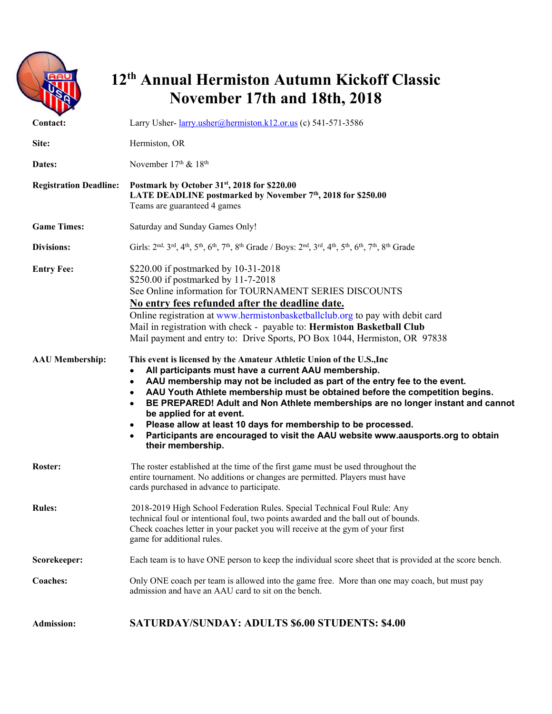

## **12th Annual Hermiston Autumn Kickoff Classic November 17th and 18th, 2018**

| Contact:                                    | Larry Usher- larry.usher@hermiston.k12.or.us (c) 541-571-3586                                                                                                                                                                                                                                                                                                                                                                                                                                                                                                                                                                                                                                                                                                                                                                                                                                                                                                                                                                                                                                  |  |  |
|---------------------------------------------|------------------------------------------------------------------------------------------------------------------------------------------------------------------------------------------------------------------------------------------------------------------------------------------------------------------------------------------------------------------------------------------------------------------------------------------------------------------------------------------------------------------------------------------------------------------------------------------------------------------------------------------------------------------------------------------------------------------------------------------------------------------------------------------------------------------------------------------------------------------------------------------------------------------------------------------------------------------------------------------------------------------------------------------------------------------------------------------------|--|--|
| Site:                                       | Hermiston, OR                                                                                                                                                                                                                                                                                                                                                                                                                                                                                                                                                                                                                                                                                                                                                                                                                                                                                                                                                                                                                                                                                  |  |  |
| Dates:                                      | November $17th$ & $18th$                                                                                                                                                                                                                                                                                                                                                                                                                                                                                                                                                                                                                                                                                                                                                                                                                                                                                                                                                                                                                                                                       |  |  |
| <b>Registration Deadline:</b>               | Postmark by October 31 <sup>st</sup> , 2018 for \$220.00<br>LATE DEADLINE postmarked by November 7 <sup>th</sup> , 2018 for \$250.00<br>Teams are guaranteed 4 games                                                                                                                                                                                                                                                                                                                                                                                                                                                                                                                                                                                                                                                                                                                                                                                                                                                                                                                           |  |  |
| <b>Game Times:</b>                          | Saturday and Sunday Games Only!                                                                                                                                                                                                                                                                                                                                                                                                                                                                                                                                                                                                                                                                                                                                                                                                                                                                                                                                                                                                                                                                |  |  |
| <b>Divisions:</b>                           | Girls: 2 <sup>nd, 3rd</sup> , 4 <sup>th</sup> , 5 <sup>th</sup> , 6 <sup>th</sup> , 7 <sup>th</sup> , 8 <sup>th</sup> Grade / Boys: 2 <sup>nd</sup> , 3 <sup>rd</sup> , 4 <sup>th</sup> , 5 <sup>th</sup> , 6 <sup>th</sup> , 7 <sup>th</sup> , 8 <sup>th</sup> Grade                                                                                                                                                                                                                                                                                                                                                                                                                                                                                                                                                                                                                                                                                                                                                                                                                          |  |  |
| <b>Entry Fee:</b><br><b>AAU</b> Membership: | \$220.00 if postmarked by 10-31-2018<br>\$250.00 if postmarked by 11-7-2018<br>See Online information for TOURNAMENT SERIES DISCOUNTS<br>No entry fees refunded after the deadline date.<br>Online registration at www.hermistonbasketballclub.org to pay with debit card<br>Mail in registration with check - payable to: Hermiston Basketball Club<br>Mail payment and entry to: Drive Sports, PO Box 1044, Hermiston, OR 97838<br>This event is licensed by the Amateur Athletic Union of the U.S., Inc<br>All participants must have a current AAU membership.<br>$\bullet$<br>AAU membership may not be included as part of the entry fee to the event.<br>$\bullet$<br>AAU Youth Athlete membership must be obtained before the competition begins.<br>$\bullet$<br>BE PREPARED! Adult and Non Athlete memberships are no longer instant and cannot<br>$\bullet$<br>be applied for at event.<br>Please allow at least 10 days for membership to be processed.<br>٠<br>Participants are encouraged to visit the AAU website www.aausports.org to obtain<br>$\bullet$<br>their membership. |  |  |
| Roster:                                     | The roster established at the time of the first game must be used throughout the<br>entire tournament. No additions or changes are permitted. Players must have<br>cards purchased in advance to participate.                                                                                                                                                                                                                                                                                                                                                                                                                                                                                                                                                                                                                                                                                                                                                                                                                                                                                  |  |  |
| <b>Rules:</b>                               | 2018-2019 High School Federation Rules. Special Technical Foul Rule: Any<br>technical foul or intentional foul, two points awarded and the ball out of bounds.<br>Check coaches letter in your packet you will receive at the gym of your first<br>game for additional rules.                                                                                                                                                                                                                                                                                                                                                                                                                                                                                                                                                                                                                                                                                                                                                                                                                  |  |  |
| Scorekeeper:                                | Each team is to have ONE person to keep the individual score sheet that is provided at the score bench.                                                                                                                                                                                                                                                                                                                                                                                                                                                                                                                                                                                                                                                                                                                                                                                                                                                                                                                                                                                        |  |  |
| Coaches:                                    | Only ONE coach per team is allowed into the game free. More than one may coach, but must pay<br>admission and have an AAU card to sit on the bench.                                                                                                                                                                                                                                                                                                                                                                                                                                                                                                                                                                                                                                                                                                                                                                                                                                                                                                                                            |  |  |
| <b>Admission:</b>                           | <b>SATURDAY/SUNDAY: ADULTS \$6.00 STUDENTS: \$4.00</b>                                                                                                                                                                                                                                                                                                                                                                                                                                                                                                                                                                                                                                                                                                                                                                                                                                                                                                                                                                                                                                         |  |  |